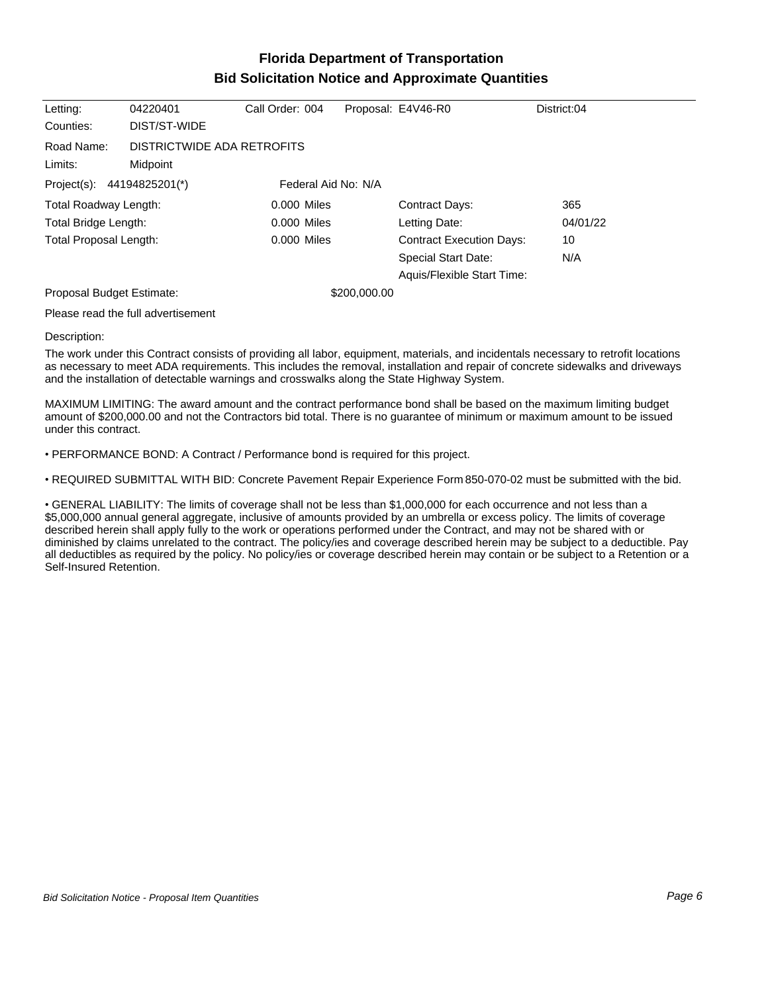## **Florida Department of Transportation Bid Solicitation Notice and Approximate Quantities**

| Letting:                      | 04220401                   | Call Order: 004     |  | Proposal: E4V46-R0              | District:04 |  |
|-------------------------------|----------------------------|---------------------|--|---------------------------------|-------------|--|
| Counties:                     | DIST/ST-WIDE               |                     |  |                                 |             |  |
| Road Name:                    | DISTRICTWIDE ADA RETROFITS |                     |  |                                 |             |  |
| Limits:                       | Midpoint                   |                     |  |                                 |             |  |
| Project(s):                   | 44194825201(*)             | Federal Aid No: N/A |  |                                 |             |  |
| Total Roadway Length:         |                            | $0.000$ Miles       |  | Contract Days:                  | 365         |  |
| Total Bridge Length:          |                            | $0.000$ Miles       |  | Letting Date:                   | 04/01/22    |  |
| <b>Total Proposal Length:</b> |                            | 0.000 Miles         |  | <b>Contract Execution Days:</b> | 10          |  |
|                               |                            |                     |  | <b>Special Start Date:</b>      | N/A         |  |
|                               |                            |                     |  | Aquis/Flexible Start Time:      |             |  |
| Proposal Budget Estimate:     |                            | \$200,000.00        |  |                                 |             |  |

Please read the full advertisement

## Description:

The work under this Contract consists of providing all labor, equipment, materials, and incidentals necessary to retrofit locations as necessary to meet ADA requirements. This includes the removal, installation and repair of concrete sidewalks and driveways and the installation of detectable warnings and crosswalks along the State Highway System.

MAXIMUM LIMITING: The award amount and the contract performance bond shall be based on the maximum limiting budget amount of \$200,000.00 and not the Contractors bid total. There is no guarantee of minimum or maximum amount to be issued under this contract.

PERFORMANCE BOND: A Contract / Performance bond is required for this project.

REQUIRED SUBMITTAL WITH BID: Concrete Pavement Repair Experience Form 850-070-02 must be submitted with the bid.

GENERAL LIABILITY: The limits of coverage shall not be less than \$1,000,000 for each occurrence and not less than a \$5,000,000 annual general aggregate, inclusive of amounts provided by an umbrella or excess policy. The limits of coverage described herein shall apply fully to the work or operations performed under the Contract, and may not be shared with or diminished by claims unrelated to the contract. The policy/ies and coverage described herein may be subject to a deductible. Pay all deductibles as required by the policy. No policy/ies or coverage described herein may contain or be subject to a Retention or a Self-Insured Retention.